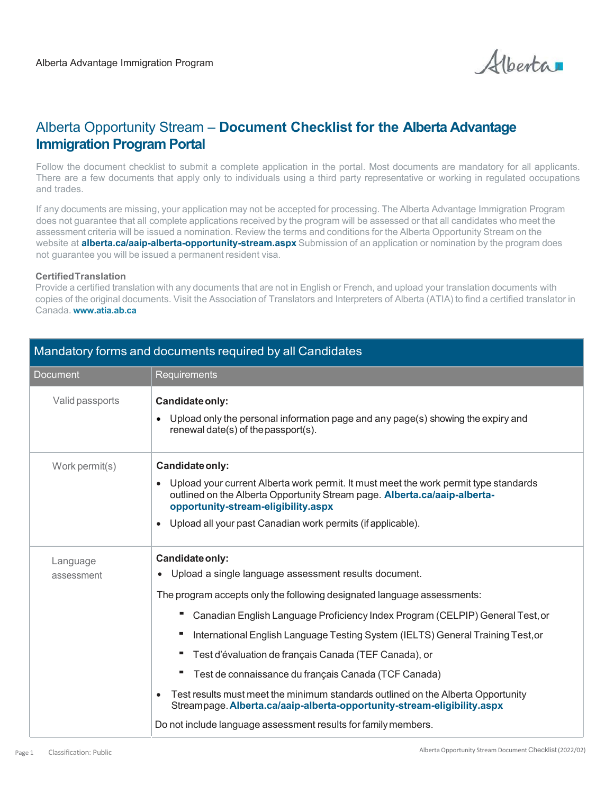Alberta

# Alberta Opportunity Stream – **Document Checklist for the Alberta Advantage Immigration Program Portal**

Follow the document checklist to submit a complete application in the portal. Most documents are mandatory for all applicants. There are a few documents that apply only to individuals using a third party representative or working in regulated occupations and trades.

If any documents are missing, your application may not be accepted for processing. The Alberta Advantage Immigration Program does not guarantee that all complete applications received by the program will be assessed or that all candidates who meet the assessment criteria will be issued a nomination. Review the terms and conditions for the Alberta Opportunity Stream on the website at **alberta.ca/aaip-alberta-opportunity-stream.aspx** Submission of an application or nomination by the program does not guarantee you will be issued a permanent resident visa.

#### **CertifiedTranslation**

Provide a certified translation with any documents that are not in English or French, and upload your translation documents with copies of the original documents. Visit the Association of Translators and Interpreters of Alberta (ATIA) to find a certified translator in Canada. **www.atia.a[b.ca](http://www.atia.ab.ca/)**

| <b>Document</b> | Requirements                                                                                                                                                                                                          |
|-----------------|-----------------------------------------------------------------------------------------------------------------------------------------------------------------------------------------------------------------------|
| Valid passports | Candidate only:                                                                                                                                                                                                       |
|                 | Upload only the personal information page and any page(s) showing the expiry and<br>$\bullet$<br>renewal date(s) of the passport(s).                                                                                  |
| Work permit(s)  | Candidate only:                                                                                                                                                                                                       |
|                 | Upload your current Alberta work permit. It must meet the work permit type standards<br>$\bullet$<br>outlined on the Alberta Opportunity Stream page. Alberta.ca/aaip-alberta-<br>opportunity-stream-eligibility.aspx |
|                 | Upload all your past Canadian work permits (if applicable).<br>$\bullet$                                                                                                                                              |
| Language        | Candidate only:                                                                                                                                                                                                       |
| assessment      | Upload a single language assessment results document.<br>$\bullet$                                                                                                                                                    |
|                 | The program accepts only the following designated language assessments:                                                                                                                                               |
|                 | Canadian English Language Proficiency Index Program (CELPIP) General Test, or                                                                                                                                         |
|                 | International English Language Testing System (IELTS) General Training Test, or                                                                                                                                       |
|                 | Test d'évaluation de français Canada (TEF Canada), or                                                                                                                                                                 |
|                 | Test de connaissance du français Canada (TCF Canada)                                                                                                                                                                  |
|                 | Test results must meet the minimum standards outlined on the Alberta Opportunity<br>$\bullet$<br>Streampage. Alberta.ca/aaip-alberta-opportunity-stream-eligibility.aspx                                              |
|                 | Do not include language assessment results for family members.                                                                                                                                                        |

### Mandatory forms and documents required by all Candidates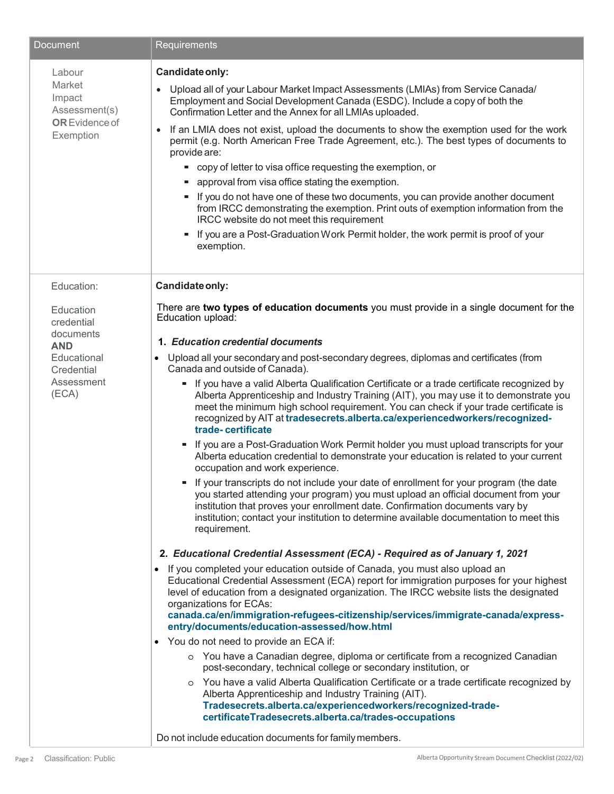| <b>Document</b>                                                                                                      | Requirements                                                                                                                                                                                                                                                                                                                                                                                                                                                                                                                                                                                                                                                                                                                                                                                                                                                                                                                                                                                                                                                                                                                                                                                                                                                                                                                                                                                                                                                                                   |
|----------------------------------------------------------------------------------------------------------------------|------------------------------------------------------------------------------------------------------------------------------------------------------------------------------------------------------------------------------------------------------------------------------------------------------------------------------------------------------------------------------------------------------------------------------------------------------------------------------------------------------------------------------------------------------------------------------------------------------------------------------------------------------------------------------------------------------------------------------------------------------------------------------------------------------------------------------------------------------------------------------------------------------------------------------------------------------------------------------------------------------------------------------------------------------------------------------------------------------------------------------------------------------------------------------------------------------------------------------------------------------------------------------------------------------------------------------------------------------------------------------------------------------------------------------------------------------------------------------------------------|
| Labour<br>Market<br>Impact<br>Assessment(s)<br><b>OR</b> Evidence of<br>Exemption                                    | Candidate only:<br>Upload all of your Labour Market Impact Assessments (LMIAs) from Service Canada/<br>$\bullet$<br>Employment and Social Development Canada (ESDC). Include a copy of both the<br>Confirmation Letter and the Annex for all LMIAs uploaded.<br>If an LMIA does not exist, upload the documents to show the exemption used for the work<br>$\bullet$<br>permit (e.g. North American Free Trade Agreement, etc.). The best types of documents to<br>provide are:<br>" copy of letter to visa office requesting the exemption, or<br>" approval from visa office stating the exemption.<br>"If you do not have one of these two documents, you can provide another document<br>from IRCC demonstrating the exemption. Print outs of exemption information from the<br>IRCC website do not meet this requirement<br>If you are a Post-Graduation Work Permit holder, the work permit is proof of your<br>٠<br>exemption.                                                                                                                                                                                                                                                                                                                                                                                                                                                                                                                                                          |
| Education:<br>Education<br>credential<br>documents<br><b>AND</b><br>Educational<br>Credential<br>Assessment<br>(ECA) | Candidate only:<br>There are two types of education documents you must provide in a single document for the<br>Education upload:<br>1. Education credential documents<br>Upload all your secondary and post-secondary degrees, diplomas and certificates (from<br>$\bullet$<br>Canada and outside of Canada).<br>- If you have a valid Alberta Qualification Certificate or a trade certificate recognized by<br>Alberta Apprenticeship and Industry Training (AIT), you may use it to demonstrate you<br>meet the minimum high school requirement. You can check if your trade certificate is<br>recognized by AIT at tradesecrets.alberta.ca/experiencedworkers/recognized-<br>trade-certificate<br>If you are a Post-Graduation Work Permit holder you must upload transcripts for your<br>Alberta education credential to demonstrate your education is related to your current                                                                                                                                                                                                                                                                                                                                                                                                                                                                                                                                                                                                            |
|                                                                                                                      | occupation and work experience.<br>If your transcripts do not include your date of enrollment for your program (the date<br>٠<br>you started attending your program) you must upload an official document from your<br>institution that proves your enrollment date. Confirmation documents vary by<br>institution; contact your institution to determine available documentation to meet this<br>requirement.<br>2. Educational Credential Assessment (ECA) - Required as of January 1, 2021<br>If you completed your education outside of Canada, you must also upload an<br>$\bullet$<br>Educational Credential Assessment (ECA) report for immigration purposes for your highest<br>level of education from a designated organization. The IRCC website lists the designated<br>organizations for ECAs:<br>canada.ca/en/immigration-refugees-citizenship/services/immigrate-canada/express-<br>entry/documents/education-assessed/how.html<br>• You do not need to provide an ECA if:<br>o You have a Canadian degree, diploma or certificate from a recognized Canadian<br>post-secondary, technical college or secondary institution, or<br>You have a valid Alberta Qualification Certificate or a trade certificate recognized by<br>$\circ$<br>Alberta Apprenticeship and Industry Training (AIT).<br>Tradesecrets.alberta.ca/experiencedworkers/recognized-trade-<br>certificateTradesecrets.alberta.ca/trades-occupations<br>Do not include education documents for family members. |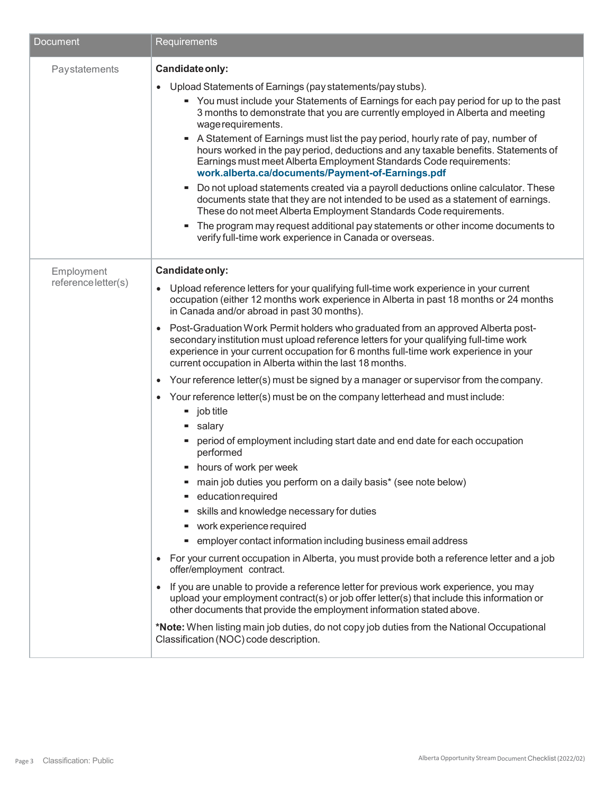| <b>Document</b>     | Requirements                                                                                                                                                                                                                                                                                                                                |
|---------------------|---------------------------------------------------------------------------------------------------------------------------------------------------------------------------------------------------------------------------------------------------------------------------------------------------------------------------------------------|
| Paystatements       | Candidate only:                                                                                                                                                                                                                                                                                                                             |
|                     | Upload Statements of Earnings (pay statements/pay stubs).<br>$\bullet$                                                                                                                                                                                                                                                                      |
|                     | • You must include your Statements of Earnings for each pay period for up to the past<br>3 months to demonstrate that you are currently employed in Alberta and meeting<br>wage requirements.<br>A Statement of Earnings must list the pay period, hourly rate of pay, number of                                                            |
|                     | hours worked in the pay period, deductions and any taxable benefits. Statements of<br>Earnings must meet Alberta Employment Standards Code requirements:<br>work.alberta.ca/documents/Payment-of-Earnings.pdf                                                                                                                               |
|                     | Do not upload statements created via a payroll deductions online calculator. These<br>ш<br>documents state that they are not intended to be used as a statement of earnings.<br>These do not meet Alberta Employment Standards Code requirements.                                                                                           |
|                     | The program may request additional pay statements or other income documents to<br>ш<br>verify full-time work experience in Canada or overseas.                                                                                                                                                                                              |
| Employment          | Candidate only:                                                                                                                                                                                                                                                                                                                             |
| reference letter(s) | Upload reference letters for your qualifying full-time work experience in your current<br>$\bullet$<br>occupation (either 12 months work experience in Alberta in past 18 months or 24 months<br>in Canada and/or abroad in past 30 months).                                                                                                |
|                     | Post-Graduation Work Permit holders who graduated from an approved Alberta post-<br>$\bullet$<br>secondary institution must upload reference letters for your qualifying full-time work<br>experience in your current occupation for 6 months full-time work experience in your<br>current occupation in Alberta within the last 18 months. |
|                     | Your reference letter(s) must be signed by a manager or supervisor from the company.<br>$\bullet$                                                                                                                                                                                                                                           |
|                     | Your reference letter(s) must be on the company letterhead and must include:<br>$\bullet$                                                                                                                                                                                                                                                   |
|                     | $\blacksquare$ job title                                                                                                                                                                                                                                                                                                                    |
|                     | salary<br>ш                                                                                                                                                                                                                                                                                                                                 |
|                     | period of employment including start date and end date for each occupation<br>performed                                                                                                                                                                                                                                                     |
|                     | - hours of work per week                                                                                                                                                                                                                                                                                                                    |
|                     | ■ main job duties you perform on a daily basis* (see note below)                                                                                                                                                                                                                                                                            |
|                     | education required                                                                                                                                                                                                                                                                                                                          |
|                     | skills and knowledge necessary for duties                                                                                                                                                                                                                                                                                                   |
|                     | work experience required<br>ш                                                                                                                                                                                                                                                                                                               |
|                     | • employer contact information including business email address                                                                                                                                                                                                                                                                             |
|                     | For your current occupation in Alberta, you must provide both a reference letter and a job<br>$\bullet$<br>offer/employment contract.                                                                                                                                                                                                       |
|                     | If you are unable to provide a reference letter for previous work experience, you may<br>$\bullet$<br>upload your employment contract(s) or job offer letter(s) that include this information or<br>other documents that provide the employment information stated above.                                                                   |
|                     | *Note: When listing main job duties, do not copy job duties from the National Occupational<br>Classification (NOC) code description.                                                                                                                                                                                                        |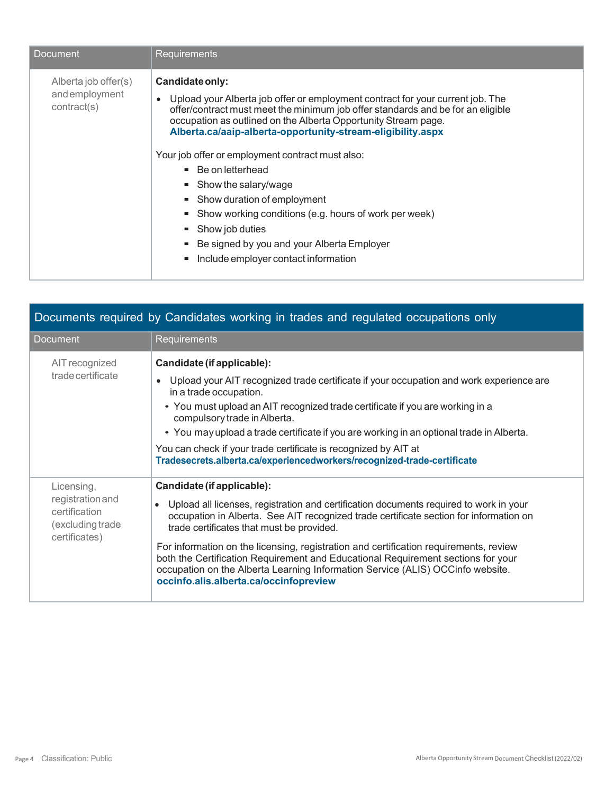| Document                                             | Requirements                                                                                                                                                                                                                                                                                                                                                                                                                                                                                                                                                                                                                                                                         |
|------------------------------------------------------|--------------------------------------------------------------------------------------------------------------------------------------------------------------------------------------------------------------------------------------------------------------------------------------------------------------------------------------------------------------------------------------------------------------------------------------------------------------------------------------------------------------------------------------------------------------------------------------------------------------------------------------------------------------------------------------|
| Alberta job offer(s)<br>andemployment<br>contract(s) | Candidate only:<br>Upload your Alberta job offer or employment contract for your current job. The<br>$\bullet$<br>offer/contract must meet the minimum job offer standards and be for an eligible<br>occupation as outlined on the Alberta Opportunity Stream page.<br>Alberta.ca/aaip-alberta-opportunity-stream-eligibility.aspx<br>Your job offer or employment contract must also:<br>$\blacksquare$ Be on letterhead<br>$\blacksquare$ Show the salary/wage<br>• Show duration of employment<br>Show working conditions (e.g. hours of work per week)<br>$\blacksquare$ Show job duties<br>• Be signed by you and your Alberta Employer<br>Include employer contact information |

| Documents required by Candidates working in trades and regulated occupations only    |                                                                                                                                                                                                                                                                                                                                                                                                                                                                                                                                                                                   |  |
|--------------------------------------------------------------------------------------|-----------------------------------------------------------------------------------------------------------------------------------------------------------------------------------------------------------------------------------------------------------------------------------------------------------------------------------------------------------------------------------------------------------------------------------------------------------------------------------------------------------------------------------------------------------------------------------|--|
| Document                                                                             | Requirements                                                                                                                                                                                                                                                                                                                                                                                                                                                                                                                                                                      |  |
| AIT recognized<br>trade certificate                                                  | Candidate (if applicable):<br>Upload your AIT recognized trade certificate if your occupation and work experience are<br>in a trade occupation.<br>• You must upload an AIT recognized trade certificate if you are working in a<br>compulsory trade in Alberta.<br>• You may upload a trade certificate if you are working in an optional trade in Alberta.<br>You can check if your trade certificate is recognized by AIT at<br>Tradesecrets.alberta.ca/experiencedworkers/recognized-trade-certificate                                                                        |  |
| Licensing,<br>registration and<br>certification<br>(excluding trade<br>certificates) | Candidate (if applicable):<br>Upload all licenses, registration and certification documents required to work in your<br>$\bullet$<br>occupation in Alberta. See AIT recognized trade certificate section for information on<br>trade certificates that must be provided.<br>For information on the licensing, registration and certification requirements, review<br>both the Certification Requirement and Educational Requirement sections for your<br>occupation on the Alberta Learning Information Service (ALIS) OCCinfo website.<br>occinfo.alis.alberta.ca/occinfopreview |  |